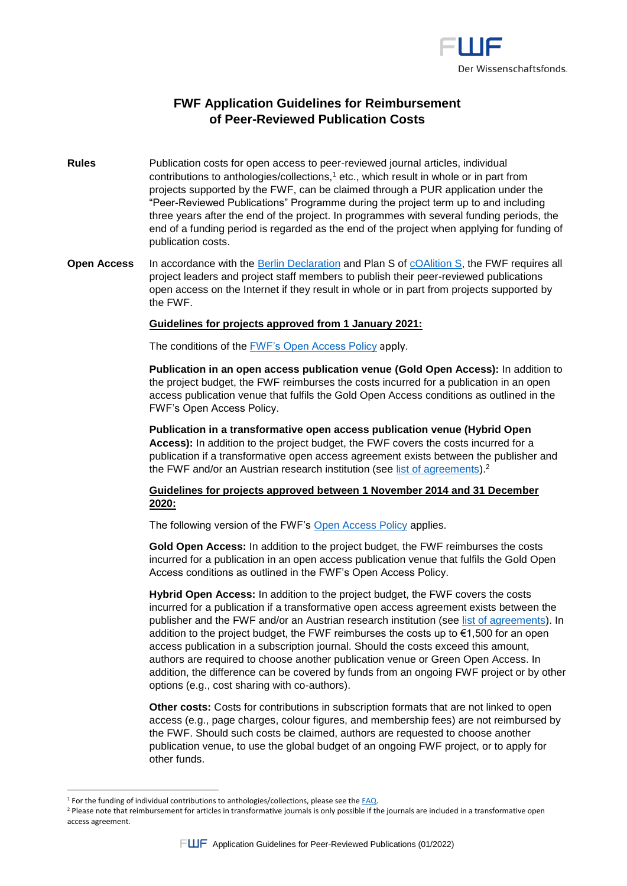

# **FWF Application Guidelines for Reimbursement of Peer-Reviewed Publication Costs**

- **Rules** Publication costs for open access to peer-reviewed journal articles, individual contributions to anthologies/collections,<sup>1</sup> etc., which result in whole or in part from projects supported by the FWF, can be claimed through a PUR application under the "Peer-Reviewed Publications" Programme during the project term up to and including three years after the end of the project. In programmes with several funding periods, the end of a funding period is regarded as the end of the project when applying for funding of publication costs.
- **Open Access** In accordance with the [Berlin Declaration](https://openaccess.mpg.de/Berlin-Declaration) and Plan S of [cOAlition S,](https://www.coalition-s.org/addendum-to-the-coalition-s-guidance-on-the-implementation-of-plan-s/) the FWF requires all project leaders and project staff members to publish their peer-reviewed publications open access on the Internet if they result in whole or in part from projects supported by the FWF.

#### **Guidelines for projects approved from 1 January 2021:**

The conditions of the [FWF's Open Access Policy](https://www.fwf.ac.at/en/research-funding/open-access-policy/open-access-to-peer-reviewed-publications) apply.

**Publication in an open access publication venue (Gold Open Access):** In addition to the project budget, the FWF reimburses the costs incurred for a publication in an open access publication venue that fulfils the Gold Open Access conditions as outlined in the FWF's Open Access Policy.

**Publication in a transformative open access publication venue (Hybrid Open Access):** In addition to the project budget, the FWF covers the costs incurred for a publication if a transformative open access agreement exists between the publisher and the FWF and/or an Austrian research institution (see [list of agreements\)](https://www.fwf.ac.at/en/research-funding/fwf-programmes/peer-reviewed-publications).<sup>2</sup>

### **Guidelines for projects approved between 1 November 2014 and 31 December 2020:**

The following version of the FWF's [Open Access Policy](https://www.fwf.ac.at/en/research-funding/open-access-policy/open-access-to-peer-reviewed-publications) applies.

**Gold Open Access:** In addition to the project budget, the FWF reimburses the costs incurred for a publication in an open access publication venue that fulfils the Gold Open Access conditions as outlined in the FWF's Open Access Policy.

**Hybrid Open Access:** In addition to the project budget, the FWF covers the costs incurred for a publication if a transformative open access agreement exists between the publisher and the FWF and/or an Austrian research institution (see [list of agreements\)](https://www.fwf.ac.at/en/research-funding/fwf-programmes/peer-reviewed-publications). In addition to the project budget, the FWF reimburses the costs up to  $\epsilon$ 1,500 for an open access publication in a subscription journal. Should the costs exceed this amount, authors are required to choose another publication venue or Green Open Access. In addition, the difference can be covered by funds from an ongoing FWF project or by other options (e.g., cost sharing with co-authors).

**Other costs:** Costs for contributions in subscription formats that are not linked to open access (e.g., page charges, colour figures, and membership fees) are not reimbursed by the FWF. Should such costs be claimed, authors are requested to choose another publication venue, to use the global budget of an ongoing FWF project, or to apply for other funds.

 $\overline{a}$ 

<sup>&</sup>lt;sup>1</sup> For the funding of individual contributions to anthologies/collections, please see the [FAQ.](https://www.fwf.ac.at/en/research-funding/faq/faq-on-the-project-stage/faq-on-publications)

<sup>&</sup>lt;sup>2</sup> Please note that reimbursement for articles in transformative journals is only possible if the journals are included in a transformative open access agreement.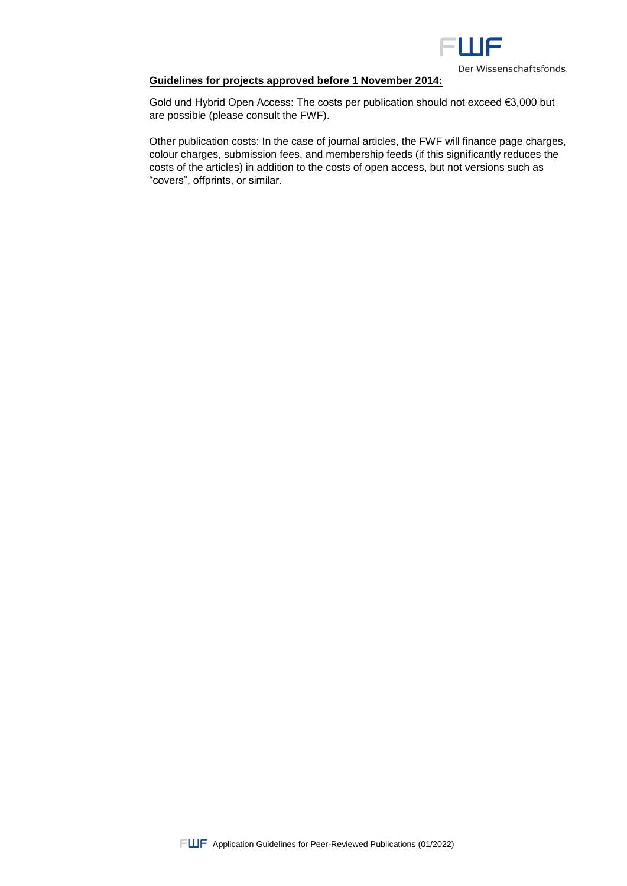

Der Wissenschaftsfonds.

### **Guidelines for projects approved before 1 November 2014:**

Gold und Hybrid Open Access: The costs per publication should not exceed €3,000 but are possible (please consult the FWF).

Other publication costs: In the case of journal articles, the FWF will finance page charges, colour charges, submission fees, and membership feeds (if this significantly reduces the costs of the articles) in addition to the costs of open access, but not versions such as "covers", offprints, or similar.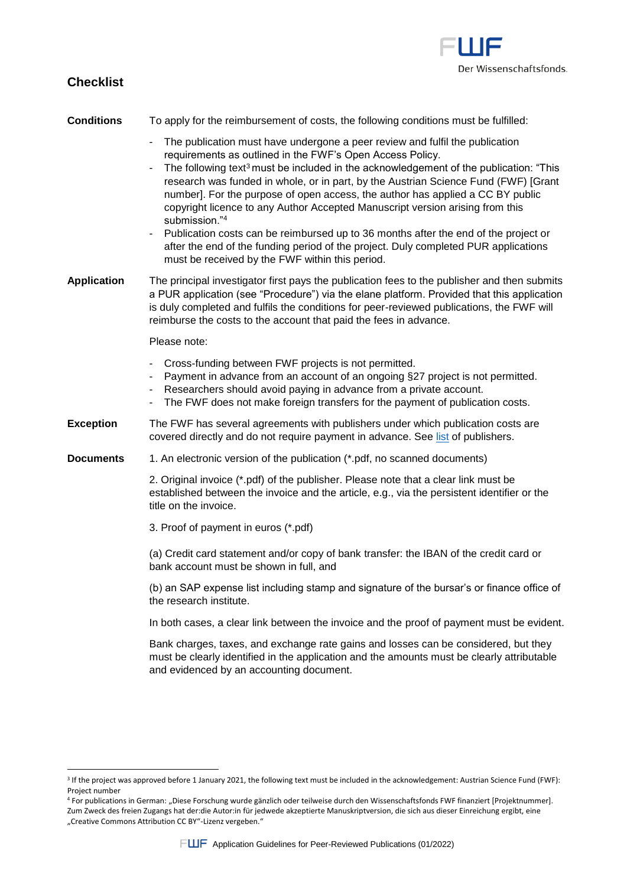

# **Checklist**

 $\overline{\phantom{a}}$ 

## **Conditions** To apply for the reimbursement of costs, the following conditions must be fulfilled:

- The publication must have undergone a peer review and fulfil the publication requirements as outlined in the FWF's Open Access Policy.
- The following text<sup>3</sup> must be included in the acknowledgement of the publication: "This research was funded in whole, or in part, by the Austrian Science Fund (FWF) [Grant number]. For the purpose of open access, the author has applied a CC BY public copyright licence to any Author Accepted Manuscript version arising from this submission."<sup>4</sup>
- Publication costs can be reimbursed up to 36 months after the end of the project or after the end of the funding period of the project. Duly completed PUR applications must be received by the FWF within this period.
- **Application** The principal investigator first pays the publication fees to the publisher and then submits a PUR application (see "Procedure") via the elane platform. Provided that this application is duly completed and fulfils the conditions for peer-reviewed publications, the FWF will reimburse the costs to the account that paid the fees in advance.

#### Please note:

- Cross-funding between FWF projects is not permitted.
- Payment in advance from an account of an ongoing §27 project is not permitted.
- Researchers should avoid paying in advance from a private account.
- The FWF does not make foreign transfers for the payment of publication costs.
- **Exception** The FWF has several agreements with publishers under which publication costs are covered directly and do not require payment in advance. See [list](https://www.fwf.ac.at/en/research-funding/fwf-programmes/peer-reviewed-publications) of publishers.
- **Documents** 1. An electronic version of the publication (\*.pdf, no scanned documents)

2. Original invoice (\*.pdf) of the publisher. Please note that a clear link must be established between the invoice and the article, e.g., via the persistent identifier or the title on the invoice.

3. Proof of payment in euros (\*.pdf)

(a) Credit card statement and/or copy of bank transfer: the IBAN of the credit card or bank account must be shown in full, and

(b) an SAP expense list including stamp and signature of the bursar's or finance office of the research institute.

In both cases, a clear link between the invoice and the proof of payment must be evident.

Bank charges, taxes, and exchange rate gains and losses can be considered, but they must be clearly identified in the application and the amounts must be clearly attributable and evidenced by an accounting document.

<sup>&</sup>lt;sup>3</sup> If the project was approved before 1 January 2021, the following text must be included in the acknowledgement: Austrian Science Fund (FWF): Project number

<sup>&</sup>lt;sup>4</sup> For publications in German: "Diese Forschung wurde gänzlich oder teilweise durch den Wissenschaftsfonds FWF finanziert [Projektnummer]. Zum Zweck des freien Zugangs hat der:die Autor:in für jedwede akzeptierte Manuskriptversion, die sich aus dieser Einreichung ergibt, eine "Creative Commons Attribution CC BY"-Lizenz vergeben."